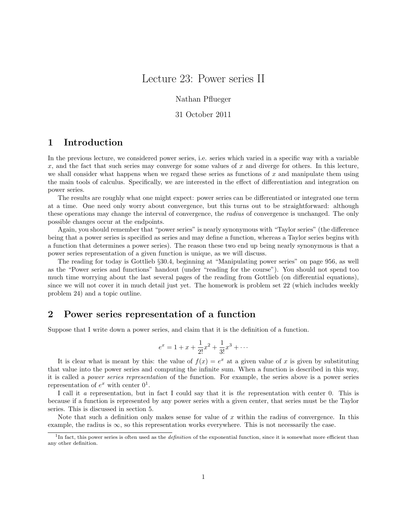# Lecture 23: Power series II

Nathan Pflueger

#### 31 October 2011

# 1 Introduction

In the previous lecture, we considered power series, i.e. series which varied in a specific way with a variable x, and the fact that such series may converge for some values of x and diverge for others. In this lecture, we shall consider what happens when we regard these series as functions of  $x$  and manipulate them using the main tools of calculus. Specifically, we are interested in the effect of differentiation and integration on power series.

The results are roughly what one might expect: power series can be differentiated or integrated one term at a time. One need only worry about convergence, but this turns out to be straightforward: although these operations may change the interval of convergence, the *radius* of convergence is unchanged. The only possible changes occur at the endpoints.

Again, you should remember that "power series" is nearly synonymous with "Taylor series" (the difference being that a power series is specified as series and may define a function, whereas a Taylor series begins with a function that determines a power series). The reason these two end up being nearly synonymous is that a power series representation of a given function is unique, as we will discuss.

The reading for today is Gottlieb §30.4, beginning at "Manipulating power series" on page 956, as well as the "Power series and functions" handout (under "reading for the course"). You should not spend too much time worrying about the last several pages of the reading from Gottlieb (on differential equations), since we will not cover it in much detail just yet. The homework is problem set 22 (which includes weekly problem 24) and a topic outline.

### 2 Power series representation of a function

Suppose that I write down a power series, and claim that it is the definition of a function.

$$
e^x = 1 + x + \frac{1}{2!}x^2 + \frac{1}{3!}x^3 + \dots
$$

It is clear what is meant by this: the value of  $f(x) = e^x$  at a given value of x is given by substituting that value into the power series and computing the infinite sum. When a function is described in this way, it is called a power series representation of the function. For example, the series above is a power series representation of  $e^x$  with center  $0^1$ .

I call it a representation, but in fact I could say that it is the representation with center 0. This is because if a function is represented by any power series with a given center, that series must be the Taylor series. This is discussed in section 5.

Note that such a definition only makes sense for value of  $x$  within the radius of convergence. In this example, the radius is  $\infty$ , so this representation works everywhere. This is not necessarily the case.

<sup>&</sup>lt;sup>1</sup>In fact, this power series is often used as the *definition* of the exponential function, since it is somewhat more efficient than any other definition.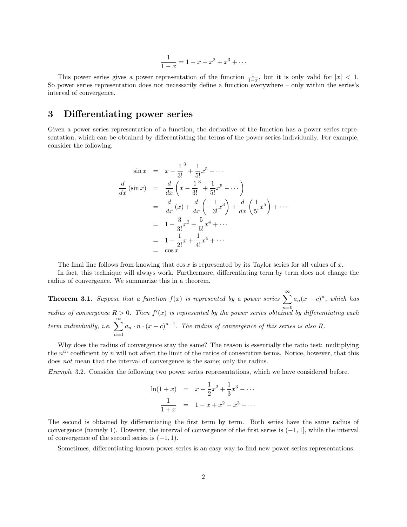$$
\frac{1}{1-x} = 1 + x + x^2 + x^3 + \dots
$$

This power series gives a power representation of the function  $\frac{1}{1-x}$ , but it is only valid for  $|x| < 1$ . So power series representation does not necessarily define a function everywhere – only within the series's interval of convergence.

### 3 Differentiating power series

Given a power series representation of a function, the derivative of the function has a power series representation, which can be obtained by differentiating the terms of the power series individually. For example, consider the following.

$$
\sin x = x - \frac{1}{3!} + \frac{1}{5!}x^5 - \cdots
$$
\n
$$
\frac{d}{dx}(\sin x) = \frac{d}{dx}\left(x - \frac{1}{3!} + \frac{1}{5!}x^5 - \cdots\right)
$$
\n
$$
= \frac{d}{dx}(x) + \frac{d}{dx}\left(-\frac{1}{3!}x^3\right) + \frac{d}{dx}\left(\frac{1}{5!}x^5\right) + \cdots
$$
\n
$$
= 1 - \frac{3}{3!}x^2 + \frac{5}{5!}x^4 + \cdots
$$
\n
$$
= 1 - \frac{1}{2!}x + \frac{1}{4!}x^4 + \cdots
$$
\n
$$
= \cos x
$$

The final line follows from knowing that  $\cos x$  is represented by its Taylor series for all values of x.

In fact, this technique will always work. Furthermore, differentiating term by term does not change the radius of convergence. We summarize this in a theorem.

**Theorem 3.1.** Suppose that a function  $f(x)$  is represented by a power series  $\sum^{\infty} a_n(x-c)^n$ , which has radius of convergence  $R > 0$ . Then  $f'(x)$  is represented by the power series obtained by differentiating each term individually, i.e.  $\sum_{n=1}^{\infty}$  $n=1$  $a_n \cdot n \cdot (x-c)^{n-1}$ . The radius of convergence of this series is also R.

Why does the radius of convergence stay the same? The reason is essentially the ratio test: multiplying the  $n<sup>th</sup>$  coefficient by n will not affect the limit of the ratios of consecutive terms. Notice, however, that this does not mean that the interval of convergence is the same; only the radius.

Example 3.2. Consider the following two power series representations, which we have considered before.

$$
\ln(1+x) = x - \frac{1}{2}x^2 + \frac{1}{3}x^3 - \dots
$$
  

$$
\frac{1}{1+x} = 1 - x + x^2 - x^3 + \dots
$$

The second is obtained by differentiating the first term by term. Both series have the same radius of convergence (namely 1). However, the interval of convergence of the first series is  $(-1, 1]$ , while the interval of convergence of the second series is  $(-1, 1)$ .

Sometimes, differentiating known power series is an easy way to find new power series representations.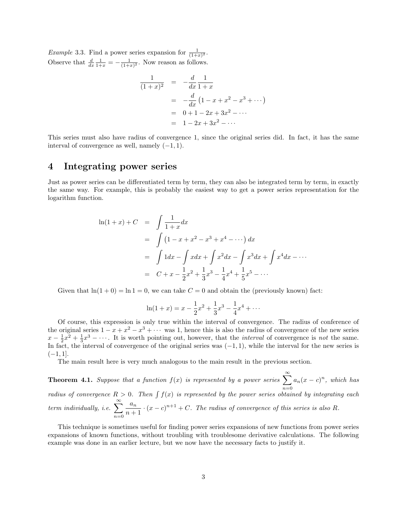*Example* 3.3. Find a power series expansion for  $\frac{1}{(1+x)^2}$ . Observe that  $\frac{d}{dx}\frac{1}{1+x} = -\frac{1}{(1+x)^2}$ . Now reason as follows.

$$
\frac{1}{(1+x)^2} = -\frac{d}{dx}\frac{1}{1+x}
$$
  
=  $-\frac{d}{dx}(1-x+x^2-x^3+\cdots)$   
=  $0+1-2x+3x^2-\cdots$   
=  $1-2x+3x^2-\cdots$ 

This series must also have radius of convergence 1, since the original series did. In fact, it has the same interval of convergence as well, namely  $(-1, 1)$ .

# 4 Integrating power series

Just as power series can be differentiated term by term, they can also be integrated term by term, in exactly the same way. For example, this is probably the easiest way to get a power series representation for the logarithm function.

$$
\ln(1+x) + C = \int \frac{1}{1+x} dx
$$
  
=  $\int (1-x+x^2 - x^3 + x^4 - \cdots) dx$   
=  $\int 1 dx - \int x dx + \int x^2 dx - \int x^3 dx + \int x^4 dx - \cdots$   
=  $C + x - \frac{1}{2}x^2 + \frac{1}{3}x^3 - \frac{1}{4}x^4 + \frac{1}{5}x^5 - \cdots$ 

Given that  $\ln(1+0) = \ln 1 = 0$ , we can take  $C = 0$  and obtain the (previously known) fact:

$$
\ln(1+x) = x - \frac{1}{2}x^2 + \frac{1}{3}x^3 - \frac{1}{4}x^4 + \cdots
$$

Of course, this expression is only true within the interval of convergence. The radius of conference of the original series  $1 - x + x^2 - x^3 + \cdots$  was 1, hence this is also the radius of convergence of the new series  $x - \frac{1}{2}x^2 + \frac{1}{3}x^3 - \cdots$ . It is worth pointing out, however, that the *interval* of convergence is not the same. In fact, the interval of convergence of the original series was  $(-1, 1)$ , while the interval for the new series is  $(-1, 1]$ .

The main result here is very much analogous to the main result in the previous section.

**Theorem 4.1.** Suppose that a function  $f(x)$  is represented by a power series  $\sum_{n=1}^{\infty}$  $n=0$  $a_n(x-c)^n$ , which has radius of convergence  $R > 0$ . Then  $\int f(x)$  is represented by the power series obtained by integrating each term individually, i.e.  $\sum_{n=1}^{\infty}$  $n=0$  $a_n$  $\frac{a_n}{n+1} \cdot (x-c)^{n+1} + C$ . The radius of convergence of this series is also R.

This technique is sometimes useful for finding power series expansions of new functions from power series expansions of known functions, without troubling with troublesome derivative calculations. The following example was done in an earlier lecture, but we now have the necessary facts to justify it.